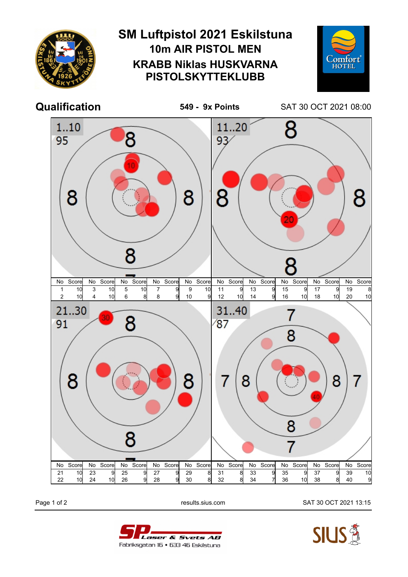

Page 1 of 2 results.sius.com SAT 30 OCT 2021 13:15